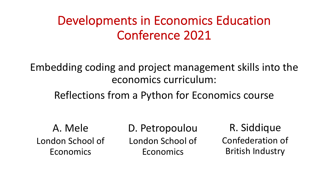### Developments in Economics Education Conference 2021

Embedding coding and project management skills into the economics curriculum:

Reflections from a Python for Economics course

A. Mele London School of Economics

D. Petropoulou London School of Economics

R. Siddique Confederation of British Industry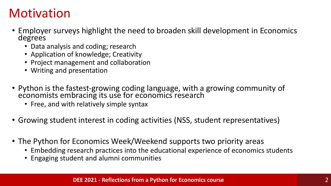### **Motivation**

- Employer surveys highlight the need to broaden skill development in Economics degrees
	- Data analysis and coding; research
	- Application of knowledge; Creativity
	- Project management and collaboration
	- Writing and presentation
- Python is the fastest-growing coding language, with a growing community of economists embracing its use for economics research
	- Free, and with relatively simple syntax
- Growing student interest in coding activities (NSS, student representatives)
- The Python for Economics Week/Weekend supports two priority areas
	- Embedding research practices into the educational experience of economics students
	- Engaging student and alumni communities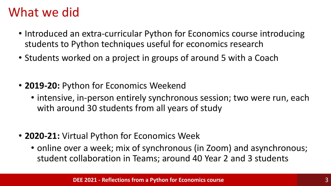#### What we did

- Introduced an extra-curricular Python for Economics course introducing students to Python techniques useful for economics research
- Students worked on a project in groups of around 5 with a Coach
- **2019-20:** Python for Economics Weekend
	- intensive, in-person entirely synchronous session; two were run, each with around 30 students from all years of study
- **2020-21:** Virtual Python for Economics Week
	- online over a week; mix of synchronous (in Zoom) and asynchronous; student collaboration in Teams; around 40 Year 2 and 3 students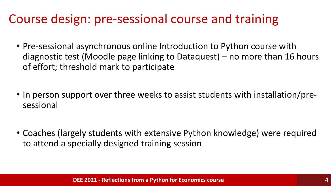### Course design: pre-sessional course and training

- Pre-sessional asynchronous online Introduction to Python course with diagnostic test (Moodle page linking to Dataquest) – no more than 16 hours of effort; threshold mark to participate
- In person support over three weeks to assist students with installation/presessional
- Coaches (largely students with extensive Python knowledge) were required to attend a specially designed training session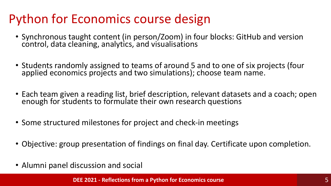## Python for Economics course design

- Synchronous taught content (in person/Zoom) in four blocks: GitHub and version control, data cleaning, analytics, and visualisations
- Students randomly assigned to teams of around 5 and to one of six projects (four applied economics projects and two simulations); choose team name.
- Each team given a reading list, brief description, relevant datasets and a coach; open enough for students to formulate their own research questions
- Some structured milestones for project and check-in meetings
- Objective: group presentation of findings on final day. Certificate upon completion.
- Alumni panel discussion and social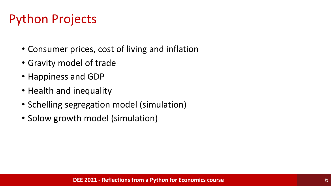# Python Projects

- Consumer prices, cost of living and inflation
- Gravity model of trade
- Happiness and GDP
- Health and inequality
- Schelling segregation model (simulation)
- Solow growth model (simulation)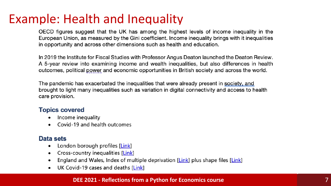### Example: Health and Inequality

OECD figures suggest that the UK has among the highest levels of income inequality in the European Union, as measured by the Gini coefficient. Income inequality brings with it inequalities in opportunity and across other dimensions such as health and education.

In 2019 the Institute for Fiscal Studies with Professor Angus Deaton launched the Deaton Review. A 5-year review into examining income and wealth inequalities, but also differences in health outcomes, political power and economic opportunities in British society and across the world.

The pandemic has exacerbated the inequalities that were already present in society, and brought to light many inequalities such as variation in digital connectivity and access to health care provision.

#### **Topics covered**

- Income inequality
- Covid-19 and health outcomes

#### Data sets

- London borough profiles [Link]  $\bullet$
- Cross-country inequalities [Link]  $\bullet$
- England and Wales, Index of multiple deprivation [Link] plus shape files [Link]
- UK Covid-19 cases and deaths [Link]

#### **DEE 2021 - Reflections from a Python for Economics course**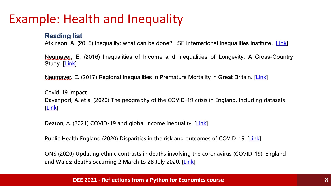### Example: Health and Inequality

#### **Reading list**

Atkinson, A. (2015) Inequality: what can be done? LSE International Inequalities Institute. [Link]

Neumayer, E. (2016) Inequalities of Income and Inequalities of Longevity: A Cross-Country Study. [Link]

Neumayer, E. (2017) Regional Inequalities in Premature Mortality in Great Britain. [Link]

Covid-19 impact Davenport, A. et al (2020) The geography of the COVID-19 crisis in England. Including datasets Link

Deaton, A. (2021) COVID-19 and global income inequality. [Link]

Public Health England (2020) Disparities in the risk and outcomes of COVID-19. [Link]

ONS (2020) Updating ethnic contrasts in deaths involving the coronavirus (COVID-19), England and Wales: deaths occurring 2 March to 28 July 2020. [Link]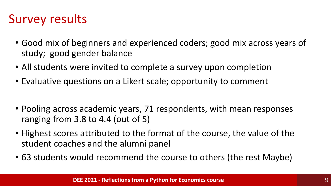## Survey results

- Good mix of beginners and experienced coders; good mix across years of study; good gender balance
- All students were invited to complete a survey upon completion
- Evaluative questions on a Likert scale; opportunity to comment
- Pooling across academic years, 71 respondents, with mean responses ranging from 3.8 to 4.4 (out of 5)
- Highest scores attributed to the format of the course, the value of the student coaches and the alumni panel
- 63 students would recommend the course to others (the rest Maybe)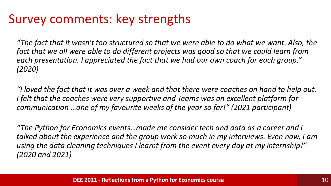### Survey comments: key strengths

*"The fact that it wasn't too structured so that we were able to do what we want. Also, the*  fact that we all were able to do different projects was good so that we could learn from *each presentation. I appreciated the fact that we had our own coach for each group." (2020)*

*"I loved the fact that it was over a week and that there were coaches on hand to help out. I felt that the coaches were very supportive and Teams was an excellent platform for communication …one of my favourite weeks of the year so far!" (2021 participant)*

*"The Python for Economics events…made me consider tech and data as a career and I talked about the experience and the group work so much in my interviews. Even now, I am using the data cleaning techniques I learnt from the event every day at my internship!" (2020 and 2021)*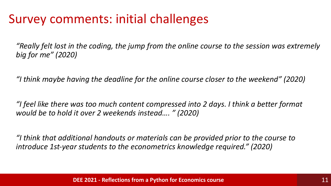### Survey comments: initial challenges

*"Really felt lost in the coding, the jump from the online course to the session was extremely big for me" (2020)*

*"I think maybe having the deadline for the online course closer to the weekend" (2020)*

*"I feel like there was too much content compressed into 2 days. I think a better format would be to hold it over 2 weekends instead…. " (2020)*

*"I think that additional handouts or materials can be provided prior to the course to introduce 1st-year students to the econometrics knowledge required." (2020)*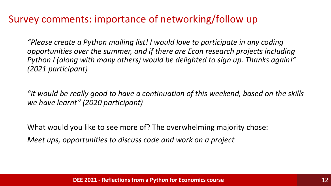#### Survey comments: importance of networking/follow up

*"Please create a Python mailing list! I would love to participate in any coding opportunities over the summer, and if there are Econ research projects including Python I (along with many others) would be delighted to sign up. Thanks again!" (2021 participant)*

*"It would be really good to have a continuation of this weekend, based on the skills we have learnt" (2020 participant)*

What would you like to see more of? The overwhelming majority chose: *Meet ups, opportunities to discuss code and work on a project*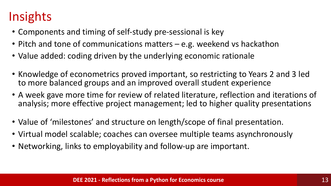# Insights

- Components and timing of self-study pre-sessional is key
- Pitch and tone of communications matters e.g. weekend vs hackathon
- Value added: coding driven by the underlying economic rationale
- Knowledge of econometrics proved important, so restricting to Years 2 and 3 led to more balanced groups and an improved overall student experience
- A week gave more time for review of related literature, reflection and iterations of analysis; more effective project management; led to higher quality presentations
- Value of 'milestones' and structure on length/scope of final presentation.
- Virtual model scalable; coaches can oversee multiple teams asynchronously
- Networking, links to employability and follow-up are important.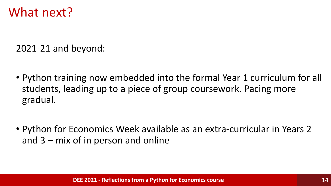#### What next?

2021-21 and beyond:

- Python training now embedded into the formal Year 1 curriculum for all students, leading up to a piece of group coursework. Pacing more gradual.
- Python for Economics Week available as an extra-curricular in Years 2 and 3 – mix of in person and online